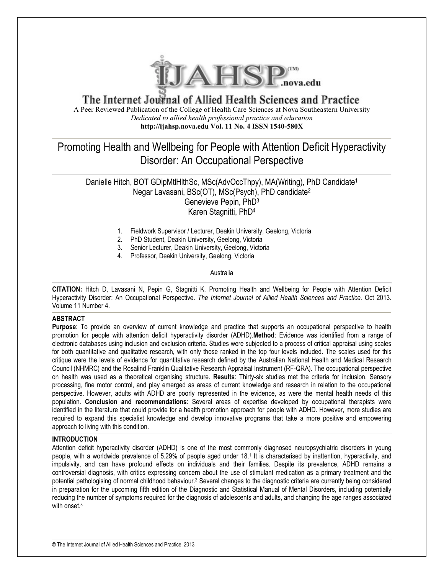

# The Internet Journal of Allied Health Sciences and Practice A Peer Reviewed Publication of the College of Health Care Sciences at Nova Southeastern University *Dedicated to allied health professional practice and education* **http://ijahsp.nova.edu Vol. 11 No. 4 ISSN 1540-580X**

# Promoting Health and Wellbeing for People with Attention Deficit Hyperactivity Disorder: An Occupational Perspective

Danielle Hitch, BOT GDipMtIHIthSc, MSc(AdvOccThpy), MA(Writing), PhD Candidate<sup>1</sup> Negar Lavasani, BSc(OT), MSc(Psych), PhD candidate<sup>2</sup> Genevieve Pepin, PhD<sup>3</sup> Karen Stagnitti, PhD<sup>4</sup>

- 1. Fieldwork Supervisor / Lecturer, Deakin University, Geelong, Victoria
- 2. PhD Student, Deakin University, Geelong, Victoria
- 3. Senior Lecturer, Deakin University, Geelong, Victoria
- 4. Professor, Deakin University, Geelong, Victoria

Australia

**CITATION:** Hitch D, Lavasani N, Pepin G, Stagnitti K. Promoting Health and Wellbeing for People with Attention Deficit Hyperactivity Disorder: An Occupational Perspective. *The Internet Journal of Allied Health Sciences and Practice.* Oct 2013. Volume 11 Number 4.

## **ABSTRACT**

**Purpose**: To provide an overview of current knowledge and practice that supports an occupational perspective to health promotion for people with attention deficit hyperactivity disorder (ADHD).**Method**: Evidence was identified from a range of electronic databases using inclusion and exclusion criteria. Studies were subjected to a process of critical appraisal using scales for both quantitative and qualitative research, with only those ranked in the top four levels included. The scales used for this critique were the levels of evidence for quantitative research defined by the Australian National Health and Medical Research Council (NHMRC) and the Rosalind Franklin Qualitative Research Appraisal Instrument (RF-QRA). The occupational perspective on health was used as a theoretical organising structure. **Results**: Thirty-six studies met the criteria for inclusion. Sensory processing, fine motor control, and play emerged as areas of current knowledge and research in relation to the occupational perspective. However, adults with ADHD are poorly represented in the evidence, as were the mental health needs of this population. **Conclusion and recommendations**: Several areas of expertise developed by occupational therapists were identified in the literature that could provide for a health promotion approach for people with ADHD. However, more studies are required to expand this specialist knowledge and develop innovative programs that take a more positive and empowering approach to living with this condition.

## **INTRODUCTION**

Attention deficit hyperactivity disorder (ADHD) is one of the most commonly diagnosed neuropsychiatric disorders in young people, with a worldwide prevalence of 5.29% of people aged under 18.<sup>1</sup> It is characterised by inattention, hyperactivity, and impulsivity, and can have profound effects on individuals and their families. Despite its prevalence, ADHD remains a controversial diagnosis, with critics expressing concern about the use of stimulant medication as a primary treatment and the potential pathologising of normal childhood behaviour.<sup>2</sup> Several changes to the diagnostic criteria are currently being considered in preparation for the upcoming fifth edition of the Diagnostic and Statistical Manual of Mental Disorders, including potentially reducing the number of symptoms required for the diagnosis of adolescents and adults, and changing the age ranges associated with onset.<sup>3</sup>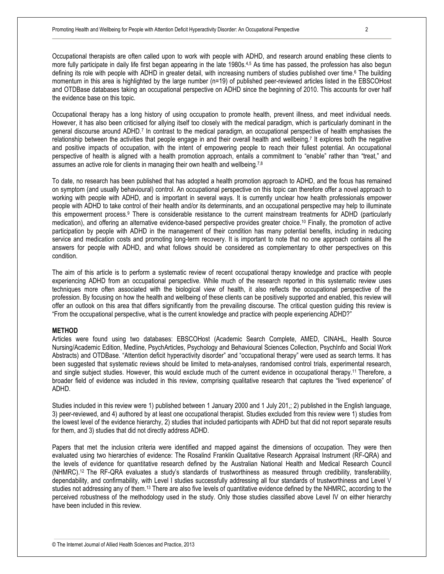Occupational therapists are often called upon to work with people with ADHD, and research around enabling these clients to more fully participate in daily life first began appearing in the late 1980s.<sup>4,5</sup> As time has passed, the profession has also begun defining its role with people with ADHD in greater detail, with increasing numbers of studies published over time.<sup>6</sup> The building momentum in this area is highlighted by the large number (n=19) of published peer-reviewed articles listed in the EBSCOHost and OTDBase databases taking an occupational perspective on ADHD since the beginning of 2010. This accounts for over half the evidence base on this topic.

Occupational therapy has a long history of using occupation to promote health, prevent illness, and meet individual needs. However, it has also been criticised for allying itself too closely with the medical paradigm, which is particularly dominant in the general discourse around ADHD.<sup>7</sup> In contrast to the medical paradigm, an occupational perspective of health emphasises the relationship between the activities that people engage in and their overall health and wellbeing.<sup>7</sup> It explores both the negative and positive impacts of occupation, with the intent of empowering people to reach their fullest potential. An occupational perspective of health is aligned with a health promotion approach, entails a commitment to "enable" rather than "treat," and assumes an active role for clients in managing their own health and wellbeing.<sup>7,8</sup>

To date, no research has been published that has adopted a health promotion approach to ADHD, and the focus has remained on symptom (and usually behavioural) control. An occupational perspective on this topic can therefore offer a novel approach to working with people with ADHD, and is important in several ways. It is currently unclear how health professionals empower people with ADHD to take control of their health and/or its determinants, and an occupational perspective may help to illuminate this empowerment process.<sup>9</sup> There is considerable resistance to the current mainstream treatments for ADHD (particularly medication), and offering an alternative evidence-based perspective provides greater choice.10 Finally, the promotion of active participation by people with ADHD in the management of their condition has many potential benefits, including in reducing service and medication costs and promoting long-term recovery. It is important to note that no one approach contains all the answers for people with ADHD, and what follows should be considered as complementary to other perspectives on this condition.

The aim of this article is to perform a systematic review of recent occupational therapy knowledge and practice with people experiencing ADHD from an occupational perspective. While much of the research reported in this systematic review uses techniques more often associated with the biological view of health, it also reflects the occupational perspective of the profession. By focusing on how the health and wellbeing of these clients can be positively supported and enabled, this review will offer an outlook on this area that differs significantly from the prevailing discourse. The critical question guiding this review is "From the occupational perspective, what is the current knowledge and practice with people experiencing ADHD?"

# **METHOD**

Articles were found using two databases: EBSCOHost (Academic Search Complete, AMED, CINAHL, Health Source Nursing/Academic Edition, Medline, PsychArticles, Psychology and Behavioural Sciences Collection, PsychInfo and Social Work Abstracts) and OTDBase. "Attention deficit hyperactivity disorder" and "occupational therapy" were used as search terms. It has been suggested that systematic reviews should be limited to meta-analyses, randomised control trials, experimental research, and single subject studies. However, this would exclude much of the current evidence in occupational therapy.11 Therefore, a broader field of evidence was included in this review, comprising qualitative research that captures the "lived experience" of ADHD.

Studies included in this review were 1) published between 1 January 2000 and 1 July 201,; 2) published in the English language, 3) peer-reviewed, and 4) authored by at least one occupational therapist. Studies excluded from this review were 1) studies from the lowest level of the evidence hierarchy, 2) studies that included participants with ADHD but that did not report separate results for them, and 3) studies that did not directly address ADHD.

Papers that met the inclusion criteria were identified and mapped against the dimensions of occupation. They were then evaluated using two hierarchies of evidence: The Rosalind Franklin Qualitative Research Appraisal Instrument (RF-QRA) and the levels of evidence for quantitative research defined by the Australian National Health and Medical Research Council (NHMRC).12 The RF-QRA evaluates a study's standards of trustworthiness as measured through credibility, transferability, dependability, and confirmability, with Level I studies successfully addressing all four standards of trustworthiness and Level V studies not addressing any of them.13 There are also five levels of quantitative evidence defined by the NHMRC, according to the perceived robustness of the methodology used in the study. Only those studies classified above Level IV on either hierarchy have been included in this review.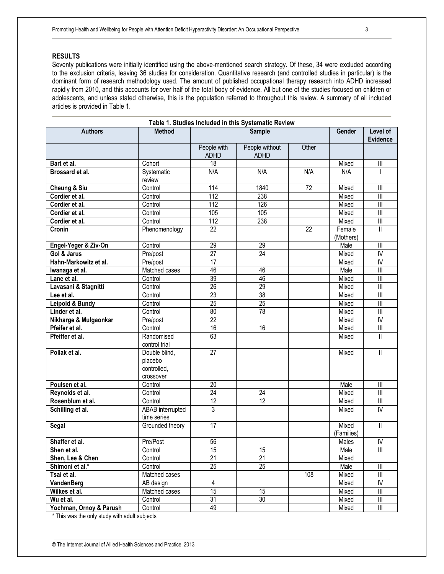# **RESULTS**

Seventy publications were initially identified using the above-mentioned search strategy. Of these, 34 were excluded according to the exclusion criteria, leaving 36 studies for consideration. Quantitative research (and controlled studies in particular) is the dominant form of research methodology used. The amount of published occupational therapy research into ADHD increased rapidly from 2010, and this accounts for over half of the total body of evidence. All but one of the studies focused on children or adolescents, and unless stated otherwise, this is the population referred to throughout this review. A summary of all included articles is provided in Table 1.

| Table 1. Studies Included in this Systematic Review |                                                      |                            |                               |       |                     |                                       |
|-----------------------------------------------------|------------------------------------------------------|----------------------------|-------------------------------|-------|---------------------|---------------------------------------|
| <b>Authors</b>                                      | <b>Method</b>                                        | <b>Sample</b>              |                               |       | Gender              | Level of<br><b>Evidence</b>           |
|                                                     |                                                      | People with<br><b>ADHD</b> | People without<br><b>ADHD</b> | Other |                     |                                       |
| Bart et al.                                         | Cohort                                               | 18                         |                               |       | Mixed               | $\begin{array}{c} \hline \end{array}$ |
| Brossard et al.                                     | Systematic<br>review                                 | N/A                        | N/A                           | N/A   | N/A                 |                                       |
| <b>Cheung &amp; Siu</b>                             | Control                                              | 114                        | 1840                          | 72    | Mixed               | $\mathsf{III}$                        |
| Cordier et al.                                      | Control                                              | 112                        | 238                           |       | Mixed               | $\begin{array}{c} \hline \end{array}$ |
| Cordier et al.                                      | Control                                              | 112                        | 126                           |       | Mixed               | $\begin{array}{c} \hline \end{array}$ |
| Cordier et al.                                      | Control                                              | 105                        | 105                           |       | Mixed               |                                       |
| Cordier et al.                                      | Control                                              | 112                        | 238                           |       | Mixed               | $\overline{\mathbb{I}}$               |
| Cronin                                              | Phenomenology                                        | 22                         |                               | 22    | Female<br>(Mothers) | $\mathbf{I}$                          |
| Engel-Yeger & Ziv-On                                | Control                                              | $\overline{29}$            | 29                            |       | Male                | $\overline{\mathbb{I}}$               |
| Gol & Jarus                                         | Pre/post                                             | $\overline{27}$            | 24                            |       | Mixed               | IV                                    |
| Hahn-Markowitz et al.                               | Pre/post                                             | $\overline{17}$            |                               |       | Mixed               | $\overline{N}$                        |
| Iwanaga et al.                                      | Matched cases                                        | 46                         | 46                            |       | Male                | $\begin{array}{c} \hline \end{array}$ |
| Lane et al.                                         | Control                                              | 39                         | 46                            |       | Mixed               |                                       |
| Lavasani & Stagnitti                                | Control                                              | 26                         | 29                            |       | Mixed               | $\overline{\mathbb{I}}$               |
| Lee et al.                                          | Control                                              | 23                         | 38                            |       | Mixed               |                                       |
| Leipold & Bundy                                     | Control                                              | 25                         | $\overline{25}$               |       | Mixed               | $\overline{\mathbb{I}}$               |
| Linder et al.                                       | Control                                              | 80                         | $\overline{78}$               |       | Mixed               | $\overline{\mathbb{I}}$               |
| Nikharge & Mulgaonkar                               | Pre/post                                             | $\overline{22}$            |                               |       | Mixed               | $\overline{\mathsf{N}}$               |
| Pfeifer et al.                                      | Control                                              | 16                         | 16                            |       | Mixed               | $\begin{array}{c} \hline \end{array}$ |
| Pfeiffer et al.                                     | Randomised<br>control trial                          | 63                         |                               |       | Mixed               | $\mathbf{II}$                         |
| Pollak et al.                                       | Double blind,<br>placebo<br>controlled,<br>crossover | $\overline{27}$            |                               |       | Mixed               | $\ensuremath{\mathsf{II}}$            |
| Poulsen et al.                                      | Control                                              | 20                         |                               |       | Male                |                                       |
| Reynolds et al.                                     | Control                                              | $\overline{24}$            | $\overline{24}$               |       | Mixed               | III                                   |
| Rosenblum et al.                                    | Control                                              | $\overline{12}$            | $\overline{12}$               |       | Mixed               | $\ensuremath{\mathsf{III}}\xspace$    |
| Schilling et al.                                    | ABAB interrupted<br>time series                      | $\overline{3}$             |                               |       | Mixed               | IV                                    |
| Segal                                               | Grounded theory                                      | 17                         |                               |       | Mixed<br>(Families) | $\ensuremath{\mathsf{II}}$            |
| Shaffer et al.                                      | Pre/Post                                             | $\overline{56}$            |                               |       | Males               | $\overline{N}$                        |
| Shen et al.                                         | Control                                              | 15                         | 15                            |       | Male                | Ш                                     |
| Shen, Lee & Chen                                    | Control                                              | $\overline{21}$            | $\overline{21}$               |       | Mixed               |                                       |
| Shimoni et al.*                                     | Control                                              | $\overline{25}$            | $\overline{25}$               |       | Male                | Ш                                     |
| Tsai et al.                                         | Matched cases                                        |                            |                               | 108   | Mixed               | $\parallel \parallel$                 |
| VandenBerg                                          | AB design                                            | 4                          |                               |       | Mixed               | IV                                    |
| Wilkes et al.                                       | Matched cases                                        | $\overline{15}$            | 15 <sup>15</sup>              |       | Mixed               | Ш                                     |
| Wu et al.                                           | Control                                              | 31                         | 30                            |       | Mixed               | Ш                                     |
| Yochman, Ornoy & Parush                             | Control                                              | 49                         |                               |       | Mixed               | $\ensuremath{\mathsf{III}}\xspace$    |

\* This was the only study with adult subjects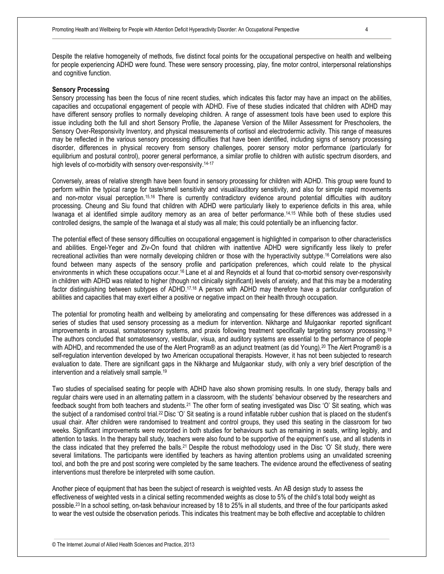Despite the relative homogeneity of methods, five distinct focal points for the occupational perspective on health and wellbeing for people experiencing ADHD were found. These were sensory processing, play, fine motor control, interpersonal relationships and cognitive function.

#### **Sensory Processing**

Sensory processing has been the focus of nine recent studies, which indicates this factor may have an impact on the abilities, capacities and occupational engagement of people with ADHD. Five of these studies indicated that children with ADHD may have different sensory profiles to normally developing children. A range of assessment tools have been used to explore this issue including both the full and short Sensory Profile, the Japanese Version of the Miller Assessment for Preschoolers, the Sensory Over-Responsivity Inventory, and physical measurements of cortisol and electrodermic activity. This range of measures may be reflected in the various sensory processing difficulties that have been identified, including signs of sensory processing disorder, differences in physical recovery from sensory challenges, poorer sensory motor performance (particularly for equilibrium and postural control), poorer general performance, a similar profile to children with autistic spectrum disorders, and high levels of co-morbidity with sensory over-responsivity.<sup>14-17</sup>

Conversely, areas of relative strength have been found in sensory processing for children with ADHD. This group were found to perform within the typical range for taste/smell sensitivity and visual/auditory sensitivity, and also for simple rapid movements and non-motor visual perception.15,16 There is currently contradictory evidence around potential difficulties with auditory processing. Cheung and Siu found that children with ADHD were particularly likely to experience deficits in this area, while Iwanaga et al identified simple auditory memory as an area of better performance.14,15 While both of these studies used controlled designs, the sample of the Iwanaga et al study was all male; this could potentially be an influencing factor.

The potential effect of these sensory difficulties on occupational engagement is highlighted in comparison to other characteristics and abilities. Engel-Yeger and Ziv-On found that children with inattentive ADHD were significantly less likely to prefer recreational activities than were normally developing children or those with the hyperactivity subtype.<sup>16</sup> Correlations were also found between many aspects of the sensory profile and participation preferences, which could relate to the physical environments in which these occupations occur.<sup>16</sup> Lane et al and Reynolds et al found that co-morbid sensory over-responsivity in children with ADHD was related to higher (though not clinically significant) levels of anxiety, and that this may be a moderating factor distinguishing between subtypes of ADHD.17,18 A person with ADHD may therefore have a particular configuration of abilities and capacities that may exert either a positive or negative impact on their health through occupation.

The potential for promoting health and wellbeing by ameliorating and compensating for these differences was addressed in a series of studies that used sensory processing as a medium for intervention. Nikharge and Mulgaonkar reported significant improvements in arousal, somatosensory systems, and praxis following treatment specifically targeting sensory processing.<sup>19</sup> The authors concluded that somatosensory, vestibular, visua, and auditory systems are essential to the performance of people with ADHD, and recommended the use of the Alert Program® as an adjunct treatment (as did Young).<sup>20</sup> The Alert Program® is a self-regulation intervention developed by two American occupational therapists. However, it has not been subjected to research evaluation to date. There are significant gaps in the Nikharge and Mulgaonkar study, with only a very brief description of the intervention and a relatively small sample.<sup>19</sup>

Two studies of specialised seating for people with ADHD have also shown promising results. In one study, therapy balls and regular chairs were used in an alternating pattern in a classroom, with the students' behaviour observed by the researchers and feedback sought from both teachers and students.21 The other form of seating investigated was Disc 'O' Sit seating, which was the subject of a randomised control trial.22 Disc 'O' Sit seating is a round inflatable rubber cushion that is placed on the student's usual chair. After children were randomised to treatment and control groups, they used this seating in the classroom for two weeks. Significant improvements were recorded in both studies for behaviours such as remaining in seats, writing legibly, and attention to tasks. In the therapy ball study, teachers were also found to be supportive of the equipment's use, and all students in the class indicated that they preferred the balls.21 Despite the robust methodology used in the Disc 'O' Sit study, there were several limitations. The participants were identified by teachers as having attention problems using an unvalidated screening tool, and both the pre and post scoring were completed by the same teachers. The evidence around the effectiveness of seating interventions must therefore be interpreted with some caution.

Another piece of equipment that has been the subject of research is weighted vests. An AB design study to assess the effectiveness of weighted vests in a clinical setting recommended weights as close to 5% of the child's total body weight as possible.23 In a school setting, on-task behaviour increased by 18 to 25% in all students, and three of the four participants asked to wear the vest outside the observation periods. This indicates this treatment may be both effective and acceptable to children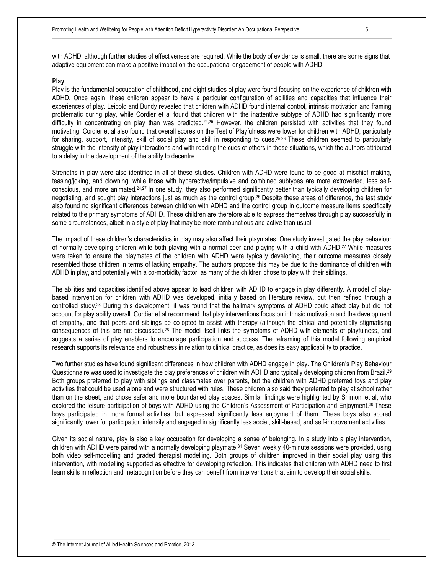#### **Play**

Play is the fundamental occupation of childhood, and eight studies of play were found focusing on the experience of children with ADHD. Once again, these children appear to have a particular configuration of abilities and capacities that influence their experiences of play. Leipold and Bundy revealed that children with ADHD found internal control, intrinsic motivation and framing problematic during play, while Cordier et al found that children with the inattentive subtype of ADHD had significantly more difficulty in concentrating on play than was predicted.24,25 However, the children persisted with activities that they found motivating. Cordier et al also found that overall scores on the Test of Playfulness were lower for children with ADHD, particularly for sharing, support, intensity, skill of social play and skill in responding to cues.<sup>25,26</sup> These children seemed to particularly struggle with the intensity of play interactions and with reading the cues of others in these situations, which the authors attributed to a delay in the development of the ability to decentre.

Strengths in play were also identified in all of these studies. Children with ADHD were found to be good at mischief making, teasing/joking, and clowning, while those with hyperactive/impulsive and combined subtypes are more extroverted, less selfconscious, and more animated.24,27 In one study, they also performed significantly better than typically developing children for negotiating, and sought play interactions just as much as the control group.26 Despite these areas of difference, the last study also found no significant differences between children with ADHD and the control group in outcome measure items specifically related to the primary symptoms of ADHD. These children are therefore able to express themselves through play successfully in some circumstances, albeit in a style of play that may be more rambunctious and active than usual.

The impact of these children's characteristics in play may also affect their playmates. One study investigated the play behaviour of normally developing children while both playing with a normal peer and playing with a child with ADHD.27 While measures were taken to ensure the playmates of the children with ADHD were typically developing, their outcome measures closely resembled those children in terms of lacking empathy. The authors propose this may be due to the dominance of children with ADHD in play, and potentially with a co-morbidity factor, as many of the children chose to play with their siblings.

The abilities and capacities identified above appear to lead children with ADHD to engage in play differently. A model of playbased intervention for children with ADHD was developed, initially based on literature review, but then refined through a controlled study.28 During this development, it was found that the hallmark symptoms of ADHD could affect play but did not account for play ability overall. Cordier et al recommend that play interventions focus on intrinsic motivation and the development of empathy, and that peers and siblings be co-opted to assist with therapy (although the ethical and potentially stigmatising consequences of this are not discussed).28 The model itself links the symptoms of ADHD with elements of playfulness, and suggests a series of play enablers to encourage participation and success. The reframing of this model following empirical research supports its relevance and robustness in relation to clinical practice, as does its easy applicability to practice.

Two further studies have found significant differences in how children with ADHD engage in play. The Children's Play Behaviour Questionnaire was used to investigate the play preferences of children with ADHD and typically developing children from Brazil.<sup>29</sup> Both groups preferred to play with siblings and classmates over parents, but the children with ADHD preferred toys and play activities that could be used alone and were structured with rules. These children also said they preferred to play at school rather than on the street, and chose safer and more boundaried play spaces. Similar findings were highlighted by Shimoni et al, who explored the leisure participation of boys with ADHD using the Children's Assessment of Participation and Enjoyment.30 These boys participated in more formal activities, but expressed significantly less enjoyment of them. These boys also scored significantly lower for participation intensity and engaged in significantly less social, skill-based, and self-improvement activities.

Given its social nature, play is also a key occupation for developing a sense of belonging. In a study into a play intervention, children with ADHD were paired with a normally developing playmate.31 Seven weekly 40-minute sessions were provided, using both video self-modelling and graded therapist modelling. Both groups of children improved in their social play using this intervention, with modelling supported as effective for developing reflection. This indicates that children with ADHD need to first learn skills in reflection and metacognition before they can benefit from interventions that aim to develop their social skills.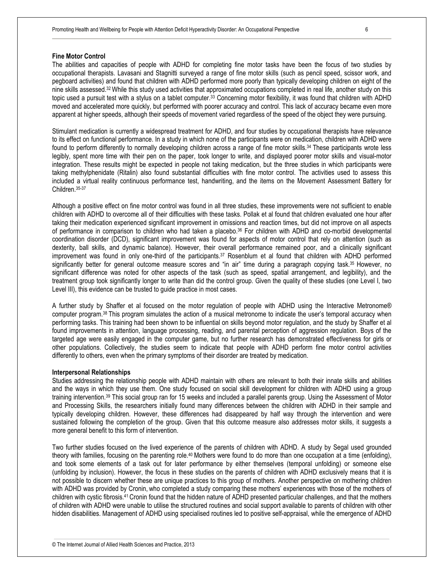#### **Fine Motor Control**

The abilities and capacities of people with ADHD for completing fine motor tasks have been the focus of two studies by occupational therapists. Lavasani and Stagnitti surveyed a range of fine motor skills (such as pencil speed, scissor work, and pegboard activities) and found that children with ADHD performed more poorly than typically developing children on eight of the nine skills assessed.<sup>32</sup> While this study used activities that approximated occupations completed in real life, another study on this topic used a pursuit test with a stylus on a tablet computer.<sup>33</sup> Concerning motor flexibility, it was found that children with ADHD moved and accelerated more quickly, but performed with poorer accuracy and control. This lack of accuracy became even more apparent at higher speeds, although their speeds of movement varied regardless of the speed of the object they were pursuing.

Stimulant medication is currently a widespread treatment for ADHD, and four studies by occupational therapists have relevance to its effect on functional performance. In a study in which none of the participants were on medication, children with ADHD were found to perform differently to normally developing children across a range of fine motor skills.<sup>34</sup> These participants wrote less legibly, spent more time with their pen on the paper, took longer to write, and displayed poorer motor skills and visual-motor integration. These results might be expected in people not taking medication, but the three studies in which participants were taking methylphenidate (Ritalin) also found substantial difficulties with fine motor control. The activities used to assess this included a virtual reality continuous performance test, handwriting, and the items on the Movement Assessment Battery for Children.35-37

Although a positive effect on fine motor control was found in all three studies, these improvements were not sufficient to enable children with ADHD to overcome all of their difficulties with these tasks. Pollak et al found that children evaluated one hour after taking their medication experienced significant improvement in omissions and reaction times, but did not improve on all aspects of performance in comparison to children who had taken a placebo.36 For children with ADHD and co-morbid developmental coordination disorder (DCD), significant improvement was found for aspects of motor control that rely on attention (such as dexterity, ball skills, and dynamic balance). However, their overall performance remained poor, and a clinically significant improvement was found in only one-third of the participants.37 Rosenblum et al found that children with ADHD performed significantly better for general outcome measure scores and "in air" time during a paragraph copying task.<sup>35</sup> However, no significant difference was noted for other aspects of the task (such as speed, spatial arrangement, and legibility), and the treatment group took significantly longer to write than did the control group. Given the quality of these studies (one Level I, two Level III), this evidence can be trusted to guide practice in most cases.

A further study by Shaffer et al focused on the motor regulation of people with ADHD using the Interactive Metronome® computer program.38 This program simulates the action of a musical metronome to indicate the user's temporal accuracy when performing tasks. This training had been shown to be influential on skills beyond motor regulation, and the study by Shaffer et al found improvements in attention, language processing, reading, and parental perception of aggression regulation. Boys of the targeted age were easily engaged in the computer game, but no further research has demonstrated effectiveness for girls or other populations. Collectively, the studies seem to indicate that people with ADHD perform fine motor control activities differently to others, even when the primary symptoms of their disorder are treated by medication.

## **Interpersonal Relationships**

Studies addressing the relationship people with ADHD maintain with others are relevant to both their innate skills and abilities and the ways in which they use them. One study focused on social skill development for children with ADHD using a group training intervention.39 This social group ran for 15 weeks and included a parallel parents group. Using the Assessment of Motor and Processing Skills, the researchers initially found many differences between the children with ADHD in their sample and typically developing children. However, these differences had disappeared by half way through the intervention and were sustained following the completion of the group. Given that this outcome measure also addresses motor skills, it suggests a more general benefit to this form of intervention.

Two further studies focused on the lived experience of the parents of children with ADHD. A study by Segal used grounded theory with families, focusing on the parenting role.40 Mothers were found to do more than one occupation at a time (enfolding), and took some elements of a task out for later performance by either themselves (temporal unfolding) or someone else (unfolding by inclusion). However, the focus in these studies on the parents of children with ADHD exclusively means that it is not possible to discern whether these are unique practices to this group of mothers. Another perspective on mothering children with ADHD was provided by Cronin, who completed a study comparing these mothers' experiences with those of the mothers of children with cystic fibrosis.41 Cronin found that the hidden nature of ADHD presented particular challenges, and that the mothers of children with ADHD were unable to utilise the structured routines and social support available to parents of children with other hidden disabilities. Management of ADHD using specialised routines led to positive self-appraisal, while the emergence of ADHD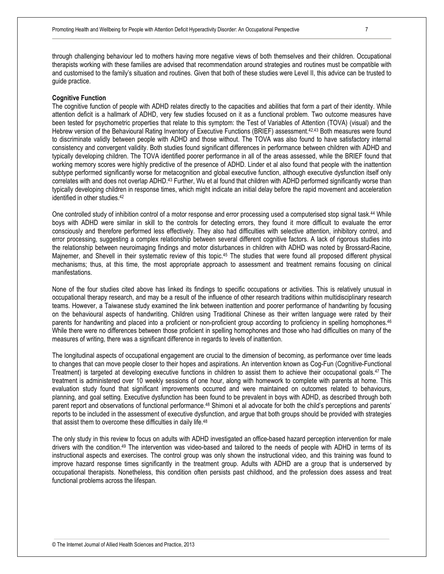through challenging behaviour led to mothers having more negative views of both themselves and their children. Occupational therapists working with these families are advised that recommendation around strategies and routines must be compatible with and customised to the family's situation and routines. Given that both of these studies were Level II, this advice can be trusted to guide practice.

#### **Cognitive Function**

The cognitive function of people with ADHD relates directly to the capacities and abilities that form a part of their identity. While attention deficit is a hallmark of ADHD, very few studies focused on it as a functional problem. Two outcome measures have been tested for psychometric properties that relate to this symptom: the Test of Variables of Attention (TOVA) (visual) and the Hebrew version of the Behavioural Rating Inventory of Executive Functions (BRIEF) assessment.<sup>42,43</sup> Both measures were found to discriminate validly between people with ADHD and those without. The TOVA was also found to have satisfactory internal consistency and convergent validity. Both studies found significant differences in performance between children with ADHD and typically developing children. The TOVA identified poorer performance in all of the areas assessed, while the BRIEF found that working memory scores were highly predictive of the presence of ADHD. Linder et al also found that people with the inattention subtype performed significantly worse for metacognition and global executive function, although executive dysfunction itself only correlates with and does not overlap ADHD.43 Further, Wu et al found that children with ADHD performed significantly worse than typically developing children in response times, which might indicate an initial delay before the rapid movement and acceleration identified in other studies.<sup>42</sup>

One controlled study of inhibition control of a motor response and error processing used a computerised stop signal task.44 While boys with ADHD were similar in skill to the controls for detecting errors, they found it more difficult to evaluate the error consciously and therefore performed less effectively. They also had difficulties with selective attention, inhibitory control, and error processing, suggesting a complex relationship between several different cognitive factors. A lack of rigorous studies into the relationship between neuroimaging findings and motor disturbances in children with ADHD was noted by Brossard-Racine, Majnemer, and Shevell in their systematic review of this topic.<sup>45</sup> The studies that were found all proposed different physical mechanisms; thus, at this time, the most appropriate approach to assessment and treatment remains focusing on clinical manifestations.

None of the four studies cited above has linked its findings to specific occupations or activities. This is relatively unusual in occupational therapy research, and may be a result of the influence of other research traditions within multidisciplinary research teams. However, a Taiwanese study examined the link between inattention and poorer performance of handwriting by focusing on the behavioural aspects of handwriting. Children using Traditional Chinese as their written language were rated by their parents for handwriting and placed into a proficient or non-proficient group according to proficiency in spelling homophones.<sup>46</sup> While there were no differences between those proficient in spelling homophones and those who had difficulties on many of the measures of writing, there was a significant difference in regards to levels of inattention.

The longitudinal aspects of occupational engagement are crucial to the dimension of becoming, as performance over time leads to changes that can move people closer to their hopes and aspirations. An intervention known as Cog-Fun (Cognitive-Functional Treatment) is targeted at developing executive functions in children to assist them to achieve their occupational goals.47 The treatment is administered over 10 weekly sessions of one hour, along with homework to complete with parents at home. This evaluation study found that significant improvements occurred and were maintained on outcomes related to behaviours, planning, and goal setting. Executive dysfunction has been found to be prevalent in boys with ADHD, as described through both parent report and observations of functional performance.48 Shimoni et al advocate for both the child's perceptions and parents' reports to be included in the assessment of executive dysfunction, and argue that both groups should be provided with strategies that assist them to overcome these difficulties in daily life.<sup>48</sup>

The only study in this review to focus on adults with ADHD investigated an office-based hazard perception intervention for male drivers with the condition.49 The intervention was video-based and tailored to the needs of people with ADHD in terms of its instructional aspects and exercises. The control group was only shown the instructional video, and this training was found to improve hazard response times significantly in the treatment group. Adults with ADHD are a group that is underserved by occupational therapists. Nonetheless, this condition often persists past childhood, and the profession does assess and treat functional problems across the lifespan.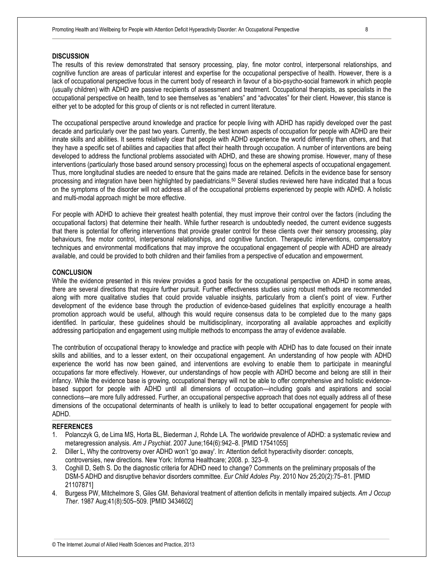# **DISCUSSION**

The results of this review demonstrated that sensory processing, play, fine motor control, interpersonal relationships, and cognitive function are areas of particular interest and expertise for the occupational perspective of health. However, there is a lack of occupational perspective focus in the current body of research in favour of a bio-psycho-social framework in which people (usually children) with ADHD are passive recipients of assessment and treatment. Occupational therapists, as specialists in the occupational perspective on health, tend to see themselves as "enablers" and "advocates" for their client. However, this stance is either yet to be adopted for this group of clients or is not reflected in current literature.

The occupational perspective around knowledge and practice for people living with ADHD has rapidly developed over the past decade and particularly over the past two years. Currently, the best known aspects of occupation for people with ADHD are their innate skills and abilities. It seems relatively clear that people with ADHD experience the world differently than others, and that they have a specific set of abilities and capacities that affect their health through occupation. A number of interventions are being developed to address the functional problems associated with ADHD, and these are showing promise. However, many of these interventions (particularly those based around sensory processing) focus on the ephemeral aspects of occupational engagement. Thus, more longitudinal studies are needed to ensure that the gains made are retained. Deficits in the evidence base for sensory processing and integration have been highlighted by paediatricians.<sup>50</sup> Several studies reviewed here have indicated that a focus on the symptoms of the disorder will not address all of the occupational problems experienced by people with ADHD. A holistic and multi-modal approach might be more effective.

For people with ADHD to achieve their greatest health potential, they must improve their control over the factors (including the occupational factors) that determine their health. While further research is undoubtedly needed, the current evidence suggests that there is potential for offering interventions that provide greater control for these clients over their sensory processing, play behaviours, fine motor control, interpersonal relationships, and cognitive function. Therapeutic interventions, compensatory techniques and environmental modifications that may improve the occupational engagement of people with ADHD are already available, and could be provided to both children and their families from a perspective of education and empowerment.

## **CONCLUSION**

While the evidence presented in this review provides a good basis for the occupational perspective on ADHD in some areas, there are several directions that require further pursuit. Further effectiveness studies using robust methods are recommended along with more qualitative studies that could provide valuable insights, particularly from a client's point of view. Further development of the evidence base through the production of evidence-based guidelines that explicitly encourage a health promotion approach would be useful, although this would require consensus data to be completed due to the many gaps identified. In particular, these guidelines should be multidisciplinary, incorporating all available approaches and explicitly addressing participation and engagement using multiple methods to encompass the array of evidence available.

The contribution of occupational therapy to knowledge and practice with people with ADHD has to date focused on their innate skills and abilities, and to a lesser extent, on their occupational engagement. An understanding of how people with ADHD experience the world has now been gained, and interventions are evolving to enable them to participate in meaningful occupations far more effectively. However, our understandings of how people with ADHD become and belong are still in their infancy. While the evidence base is growing, occupational therapy will not be able to offer comprehensive and holistic evidencebased support for people with ADHD until all dimensions of occupation—including goals and aspirations and social connections—are more fully addressed. Further, an occupational perspective approach that does not equally address all of these dimensions of the occupational determinants of health is unlikely to lead to better occupational engagement for people with ADHD.

## **REFERENCES**

- 1. Polanczyk G, de Lima MS, Horta BL, Biederman J, Rohde LA. The worldwide prevalence of ADHD: a systematic review and metaregression analysis. *Am J Psychiat*. 2007 June;164(6):942–8. [PMID 17541055]
- 2. Diller L, Why the controversy over ADHD won't 'go away'. In: Attention deficit hyperactivity disorder: concepts, controversies, new directions. New York: Informa Healthcare; 2008. p. 323–9.
- 3. Coghill D, Seth S. Do the diagnostic criteria for ADHD need to change? Comments on the preliminary proposals of the DSM-5 ADHD and disruptive behavior disorders committee. *Eur Child Adoles Psy*. 2010 Nov 25;20(2):75–81. [PMID 21107871]
- 4. Burgess PW, Mitchelmore S, Giles GM. Behavioral treatment of attention deficits in mentally impaired subjects. *Am J Occup Ther*. 1987 Aug;41(8):505–509. [PMID 3434602]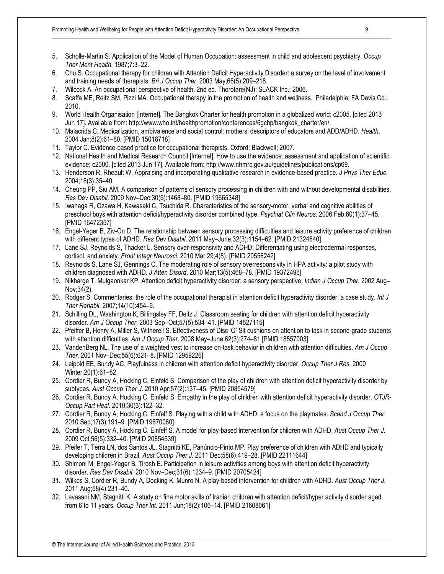- 5. Scholle-Martin S. Application of the Model of Human Occupation: assessment in child and adolescent psychiatry. *Occup Ther Ment Health*. 1987;7:3–22.
- 6. Chu S. Occupational therapy for children with Attention Deficit Hyperactivity Disorder: a survey on the level of involvement and training needs of therapists. *Bri J Occup Ther*. 2003 May;66(5):209–218.
- 7. Wilcock A. An occupational perspective of health. 2nd ed. Thorofare(NJ): SLACK Inc.; 2006.
- 8. Scaffa ME, Reitz SM, Pizzi MA. Occupational therapy in the promotion of health and wellness. Philadelphia: FA Davis Co.; 2010.
- 9. World Health Organisation [Internet]. The Bangkok Charter for health promotion in a globalized world; c2005. [cited 2013 Jun 17]. Available from: http://www.who.int/healthpromotion/conferences/6gchp/bangkok\_charter/en/.
- 10. Malacrida C. Medicalization, ambivalence and social control: mothers' descriptors of educators and ADD/ADHD. *Health*. 2004 Jan;8(2):61–80. [PMID 15018718]
- 11. Taylor C. Evidence-based practice for occupational therapists. Oxford: Blackwell; 2007.
- 12. National Health and Medical Research Council [Internet]. How to use the evidence: assessment and application of scientific evidence; c2000. [cited 2013 Jun 17]. Available from: http://www.nhmrc.gov.au/guidelines/publications/cp69.
- 13. Henderson R, Rheault W. Appraising and incorporating qualitative research in evidence-based practice. *J Phys Ther Educ*. 2004;18(3):35–40.
- 14. Cheung PP, Siu AM. A comparison of patterns of sensory processing in children with and without developmental disabilities. *Res Dev Disabil*. 2009 Nov–Dec;30(6):1468–80. [PMID 19665348]
- 15. Iwanaga R, Ozawa H, Kawasaki C, Tsuchida R. Characteristics of the sensory-motor, verbal and cognitive abilities of preschool boys with attention deficit/hyperactivity disorder combined type. *Psychiat Clin Neuros*. 2006 Feb;60(1):37–45. [PMID 16472357]
- 16. Engel-Yeger B, Ziv-On D. The relationship between sensory processing difficulties and leisure activity preference of children with different types of ADHD. *Res Dev Disabil*. 2011 May–June;32(3):1154–62. [PMID 21324640]
- 17. Lane SJ, Reynolds S, Thacker L. Sensory over-responsivity and ADHD: Differentiating using electrodermal responses, cortisol, and anxiety. *Front Integr Neurosci*. 2010 Mar 29;4(8). [PMID 20556242]
- 18. Reynolds S, Lane SJ, Gennings C. The moderating role of sensory overresponsivity in HPA activity: a pilot study with children diagnosed with ADHD. *J Atten Disord*. 2010 Mar;13(5):468–78. [PMID 19372496]
- 19. Nikharge T, Mulgaonkar KP. Attention deficit hyperactivity disorder: a sensory perspective. *Indian J Occup Ther*. 2002 Aug– Nov;34(2).
- 20. Rodger S. Commentaries: the role of the occupational therapist in attention deficit hyperactivity disorder: a case study. *Int J Ther Rehabil*. 2007;14(10):454–9.
- 21. Schilling DL, Washington K, Billingsley FF, Deitz J. Classroom seating for children with attention deficit hyperactivity disorder. *Am J Occup Ther*. 2003 Sep–Oct;57(5):534–41. [PMID 14527115]
- 22. Pfeiffer B, Henry A, Miller S, Witherell S. Effectiveness of Disc 'O' Sit cushions on attention to task in second-grade students with attention difficulties. *Am J Occup Ther*. 2008 May–June;62(3):274–81 [PMID 18557003]
- 23. VandenBerg NL. The use of a weighted vest to increase on-task behavior in children with attention difficulties. *Am J Occup Ther*. 2001 Nov–Dec;55(6):621–8. [PMID 12959226]
- 24. Leipold EE, Bundy AC. Playfulness in children with attention deficit hyperactivity disorder. *Occup Ther J Res*. 2000 Winter;20(1):61–82.
- 25. Cordier R, Bundy A, Hocking C, Einfeld S. Comparison of the play of children with attention deficit hyperactivity disorder by subtypes. *Aust Occup Ther J*. 2010 Apr;57(2):137–45. [PMID 20854579]
- 26. Cordier R, Bundy A, Hocking C, Einfeld S. Empathy in the play of children with attention deficit hyperactivity disorder. *OTJR-Occup Part Heal*. 2010;30(3):122–32.
- 27. Cordier R, Bundy A, Hocking C, Einfelf S. Playing with a child with ADHD: a focus on the playmates. *Scand J Occup Ther*. 2010 Sep;17(3):191–9. [PMID 19670080]
- 28. Cordier R, Bundy A, Hocking C, Einfelf S. A model for play-based intervention for children with ADHD. *Aust Occup Ther J*. 2009 Oct;56(5):332–40. [PMID 20854539]
- 29. Pfeifer T, Terra LN, dos Santos JL, Stagnitti KE, Panúncio-Pinto MP. Play preference of children with ADHD and typically developing children in Brazil. *Aust Occup Ther J*. 2011 Dec;58(6):419–28. [PMID 22111644]
- 30. Shimoni M, Engel-Yeger B, Tirosh E. Participation in leisure activities among boys with attention deficit hyperactivity disorder. *Res Dev Disabil*. 2010 Nov–Dec;31(6):1234–9. [PMID 20705424]
- 31. Wilkes S, Cordier R, Bundy A, Docking K, Munro N. A play-based intervention for children with ADHD. *Aust Occup Ther J*. 2011 Aug;58(4):231–40.
- 32. Lavasani NM, Stagnitti K. A study on fine motor skills of Iranian children with attention deficit/hyper activity disorder aged from 6 to 11 years. *Occup Ther Int*. 2011 Jun;18(2):106–14. [PMID 21608061]